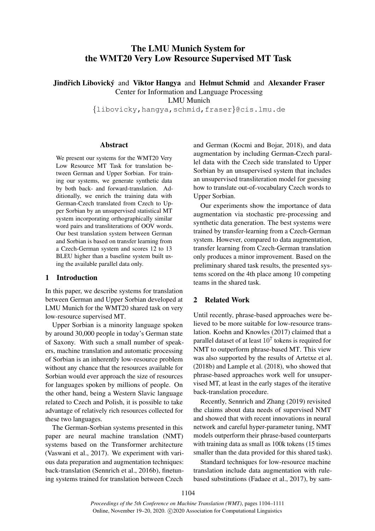# The LMU Munich System for the WMT20 Very Low Resource Supervised MT Task

**Jindřich Libovický and Viktor Hangya and Helmut Schmid and Alexander Fraser** Center for Information and Language Processing

LMU Munich

{libovicky,hangya,schmid,fraser}@cis.lmu.de

# Abstract

We present our systems for the WMT20 Very Low Resource MT Task for translation between German and Upper Sorbian. For training our systems, we generate synthetic data by both back- and forward-translation. Additionally, we enrich the training data with German-Czech translated from Czech to Upper Sorbian by an unsupervised statistical MT system incorporating orthographically similar word pairs and transliterations of OOV words. Our best translation system between German and Sorbian is based on transfer learning from a Czech-German system and scores 12 to 13 BLEU higher than a baseline system built using the available parallel data only.

# 1 Introduction

In this paper, we describe systems for translation between German and Upper Sorbian developed at LMU Munich for the WMT20 shared task on very low-resource supervised MT.

Upper Sorbian is a minority language spoken by around 30,000 people in today's German state of Saxony. With such a small number of speakers, machine translation and automatic processing of Sorbian is an inherently low-resource problem without any chance that the resources available for Sorbian would ever approach the size of resources for languages spoken by millions of people. On the other hand, being a Western Slavic language related to Czech and Polish, it is possible to take advantage of relatively rich resources collected for these two languages.

The German-Sorbian systems presented in this paper are neural machine translation (NMT) systems based on the Transformer architecture (Vaswani et al., 2017). We experiment with various data preparation and augmentation techniques: back-translation (Sennrich et al., 2016b), finetuning systems trained for translation between Czech

and German (Kocmi and Bojar, 2018), and data augmentation by including German-Czech parallel data with the Czech side translated to Upper Sorbian by an unsupervised system that includes an unsupervised transliteration model for guessing how to translate out-of-vocabulary Czech words to Upper Sorbian.

Our experiments show the importance of data augmentation via stochastic pre-processing and synthetic data generation. The best systems were trained by transfer-learning from a Czech-German system. However, compared to data augmentation, transfer learning from Czech-German translation only produces a minor improvement. Based on the preliminary shared task results, the presented systems scored on the 4th place among 10 competing teams in the shared task.

# 2 Related Work

Until recently, phrase-based approaches were believed to be more suitable for low-resource translation. Koehn and Knowles (2017) claimed that a parallel dataset of at least  $10^7$  tokens is required for NMT to outperform phrase-based MT. This view was also supported by the results of Artetxe et al. (2018b) and Lample et al. (2018), who showed that phrase-based approaches work well for unsupervised MT, at least in the early stages of the iterative back-translation procedure.

Recently, Sennrich and Zhang (2019) revisited the claims about data needs of supervised NMT and showed that with recent innovations in neural network and careful hyper-parameter tuning, NMT models outperform their phrase-based counterparts with training data as small as 100k tokens (15 times smaller than the data provided for this shared task).

Standard techniques for low-resource machine translation include data augmentation with rulebased substitutions (Fadaee et al., 2017), by sam-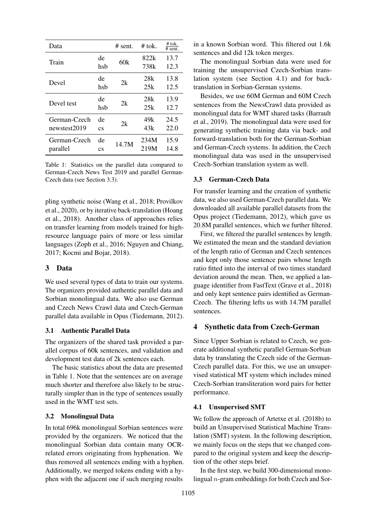| Data                         |                              | $#$ sent. | $#$ tok.     | # tok.<br>$\overline{4}$ sent. |
|------------------------------|------------------------------|-----------|--------------|--------------------------------|
| Train                        | de<br>hsh                    | 60k       | 822k<br>738k | 13.7<br>12.3                   |
| Devel                        | de<br>hsh                    | 2k        | 28k<br>25k   | 13.8<br>12.5                   |
| Devel test                   | de<br>hsh                    | 2k        | 28k<br>25k   | 13.9<br>12.7                   |
| German-Czech<br>newstest2019 | de<br>$\mathbf{c}\mathbf{s}$ | 2k        | 49k<br>43k   | 24.5<br>22.0                   |
| German-Czech<br>parallel     | de<br>$\mathbf{c}\mathbf{s}$ | 14.7M     | 234M<br>219M | 15.9<br>14.8                   |

Table 1: Statistics on the parallel data compared to German-Czech News Test 2019 and parallel German-Czech data (see Section 3.3).

pling synthetic noise (Wang et al., 2018; Provilkov et al., 2020), or by iterative back-translation (Hoang et al., 2018). Another class of approaches relies on transfer learning from models trained for highresource language pairs of more or less similar languages (Zoph et al., 2016; Nguyen and Chiang, 2017; Kocmi and Bojar, 2018).

# 3 Data

We used several types of data to train our systems. The organizers provided authentic parallel data and Sorbian monolingual data. We also use German and Czech News Crawl data and Czech-German parallel data available in Opus (Tiedemann, 2012).

# 3.1 Authentic Parallel Data

The organizers of the shared task provided a parallel corpus of 60k sentences, and validation and development test data of 2k sentences each.

The basic statistics about the data are presented in Table 1. Note that the sentences are on average much shorter and therefore also likely to be structurally simpler than in the type of sentences usually used in the WMT test sets.

#### 3.2 Monolingual Data

In total 696k monolingual Sorbian sentences were provided by the organizers. We noticed that the monolingual Sorbian data contain many OCRrelated errors originating from hyphenation. We thus removed all sentences ending with a hyphen. Additionally, we merged tokens ending with a hyphen with the adjacent one if such merging results

in a known Sorbian word. This filtered out 1.6k sentences and did 12k token merges.

The monolingual Sorbian data were used for training the unsupervised Czech-Sorbian translation system (see Section 4.1) and for backtranslation in Sorbian-German systems.

Besides, we use 60M German and 60M Czech sentences from the NewsCrawl data provided as monolingual data for WMT shared tasks (Barrault et al., 2019). The monolingual data were used for generating synthetic training data via back- and forward-translation both for the German-Sorbian and German-Czech systems. In addition, the Czech monolingual data was used in the unsupervised Czech-Sorbian translation system as well.

#### 3.3 German-Czech Data

For transfer learning and the creation of synthetic data, we also used German-Czech parallel data. We downloaded all available parallel datasets from the Opus project (Tiedemann, 2012), which gave us 20.8M parallel sentences, which we further filtered.

First, we filtered the parallel sentences by length. We estimated the mean and the standard deviation of the length ratio of German and Czech sentences and kept only those sentence pairs whose length ratio fitted into the interval of two times standard deviation around the mean. Then, we applied a language identifier from FastText (Grave et al., 2018) and only kept sentence pairs identified as German-Czech. The filtering lefts us with 14.7M parallel sentences.

### 4 Synthetic data from Czech-German

Since Upper Sorbian is related to Czech, we generate additional synthetic parallel German-Sorbian data by translating the Czech side of the German-Czech parallel data. For this, we use an unsupervised statistical MT system which includes mined Czech-Sorbian transliteration word pairs for better performance.

### 4.1 Unsupervised SMT

We follow the approach of Artetxe et al. (2018b) to build an Unsupervised Statistical Machine Translation (SMT) system. In the following description, we mainly focus on the steps that we changed compared to the original system and keep the description of the other steps brief.

In the first step, we build 300-dimensional monolingual  $n$ -gram embeddings for both Czech and Sor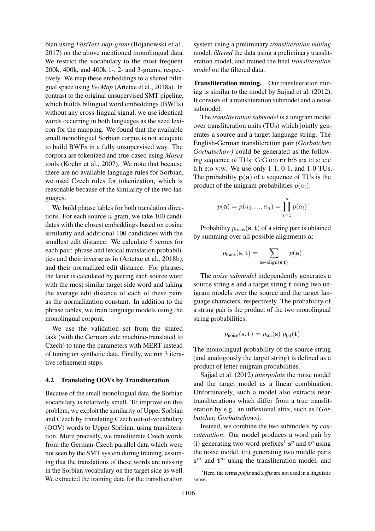bian using *FastText skip-gram* (Bojanowski et al., 2017) on the above mentioned monolingual data. We restrict the vocabulary to the most frequent 200k, 400k, and 400k 1-, 2- and 3-grams, respectively. We map these embeddings to a shared bilingual space using *VecMap* (Artetxe et al., 2018a). In contrast to the original unsupervised SMT pipeline, which builds bilingual word embeddings (BWEs) without any cross-lingual signal, we use identical words occurring in both languages as the seed lexicon for the mapping. We found that the available small monolingual Sorbian corpus is not adequate to build BWEs in a fully unsupervised way. The corpora are tokenized and true-cased using *Moses* tools (Koehn et al., 2007). We note that because there are no available language rules for Sorbian, we used Czech rules for tokenization, which is reasonable because of the similarity of the two languages.

We build phrase tables for both translation directions. For each source  $n$ -gram, we take 100 candidates with the closest embeddings based on cosine similarity and additional 100 candidates with the smallest edit distance. We calculate 5 scores for each pair: phrase and lexical translation probabilities and their inverse as in (Artetxe et al., 2018b), and their normalized edit distance. For phrases, the latter is calculated by pairing each source word with the most similar target side word and taking the average edit distance of each of these pairs as the normalization constant. In addition to the phrase tables, we train language models using the monolingual corpora.

We use the validation set from the shared task (with the German side machine-translated to Czech) to tune the parameters with MERT instead of tuning on synthetic data. Finally, we run 3 iterative refinement steps.

#### 4.2 Translating OOVs by Transliteration

Because of the small monolingual data, the Sorbian vocabulary is relatively small. To improve on this problem, we exploit the similarity of Upper Sorbian and Czech by translating Czech out-of-vocabulary (OOV) words to Upper Sorbian, using transliteration. More precisely, we transliterate Czech words from the German-Czech parallel data which were not seen by the SMT system during training, assuming that the translations of these words are missing in the Sorbian vocabulary on the target side as well. We extracted the training data for the transliteration system using a preliminary *transliteration mining* model, *filtered* the data using a preliminary transliteration model, and trained the final *transliteration model* on the filtered data.

Transliteration mining. Our transliteration mining is similar to the model by Sajjad et al. (2012). It consists of a transliteration submodel and a noise submodel.

The *transliteration submodel* is a unigram model over transliteration units (TUs) which jointly generates a source and a target language string. The English-German transliteration pair *(Gorbatchev, Gorbatschow)* could be generated as the following sequence of TUs: G:G o:o r:r b:b a:a t:t s: c:c h:h e:o v:w. We use only 1-1, 0-1, and 1-0 TUs. The probability  $p(a)$  of a sequence of TUs is the product of the unigram probabilities  $p(a_i)$ :

$$
p(\mathbf{a}) = p(a_1, ..., a_n) = \prod_{i=1}^{n} p(a_i)
$$

Probability  $p_{trans}(\mathbf{s}, \mathbf{t})$  of a string pair is obtained by summing over all possible alignments a:

$$
p_{\text{trans}}(\mathbf{s}, \mathbf{t}) = \sum_{\mathbf{a} \in \text{align}(\mathbf{s}, \mathbf{t})} p(\mathbf{a})
$$

The *noise submodel* independently generates a source string s and a target string t using two unigram models over the source and the target language characters, respectively. The probability of a string pair is the product of the two monolingual string probabilities:

$$
p_{\text{noise}}(\mathbf{s}, \mathbf{t}) = p_{\text{src}}(\mathbf{s}) \ p_{\text{tgt}}(\mathbf{t})
$$

The monolingual probability of the source string (and analogously the target string) is defined as a product of letter unigram probabilities.

Sajjad et al. (2012) *interpolate* the noise model and the target model as a linear combination. Unfortunately, such a model also extracts neartransliterations which differ from a true transliteration by e.g., an inflexional affix, such as *(Gorbatchev, Gorbatschows)*.

Instead, we combine the two submodels by *concatenation*. Our model produces a word pair by (i) generating two word prefixes<sup>1</sup> s<sup>p</sup> and  $t^p$  using the noise model, (ii) generating two middle parts  $s^m$  and  $t^m$  using the transliteration model, and

<sup>&</sup>lt;sup>1</sup>Here, the terms *prefix* and *suffix* are not used in a linguistic sense.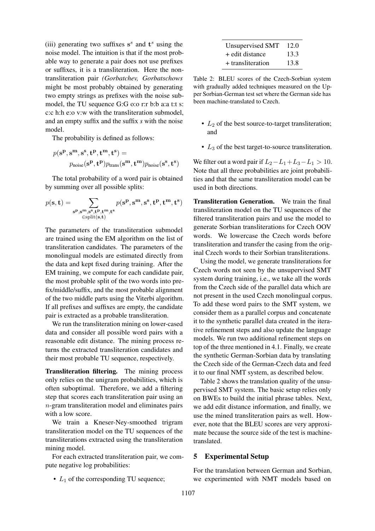(iii) generating two suffixes  $s^s$  and  $t^s$  using the noise model. The intuition is that if the most probable way to generate a pair does not use prefixes or suffixes, it is a transliteration. Here the nontransliteration pair *(Gorbatchev, Gorbatschows* might be most probably obtained by generating two empty strings as prefixes with the noise submodel, the TU sequence G:G o:o r:r b:b a:a t:t s: c:c h:h e:o v:w with the transliteration submodel, and an empty suffix and the suffix *s* with the noise model.

The probability is defined as follows:

$$
\begin{aligned} p(\mathbf{s^p}, \mathbf{s^m}, \mathbf{s^s}, \mathbf{t^p}, \mathbf{t^m}, \mathbf{t^s}) = \\ p_{\text{noise}}(\mathbf{s^p}, \mathbf{t^p})p_{\text{trans}}(\mathbf{s^m}, \mathbf{t^m})p_{\text{noise}}(\mathbf{s^s}, \mathbf{t^s}) \end{aligned}
$$

The total probability of a word pair is obtained by summing over all possible splits:

$$
p(\mathbf{s}, \mathbf{t}) = \sum_{\substack{\mathbf{s}^{\mathbf{p}}, \mathbf{s}^{\mathbf{m}}, \mathbf{s}^{\mathbf{s}}, \mathbf{t}^{\mathbf{p}}, \mathbf{t}^{\mathbf{m}}, \mathbf{t}^{\mathbf{s}} \\ \in \text{split}(\mathbf{s}, \mathbf{t})}} p(\mathbf{s}^{\mathbf{p}}, \mathbf{s}^{\mathbf{m}}, \mathbf{s}^{\mathbf{s}}, \mathbf{t}^{\mathbf{p}}, \mathbf{t}^{\mathbf{m}}, \mathbf{t}^{\mathbf{s}})
$$

The parameters of the transliteration submodel are trained using the EM algorithm on the list of transliteration candidates. The parameters of the monolingual models are estimated directly from the data and kept fixed during training. After the EM training, we compute for each candidate pair, the most probable split of the two words into prefix/middle/suffix, and the most probable alignment of the two middle parts using the Viterbi algorithm. If all prefixes and suffixes are empty, the candidate pair is extracted as a probable transliteration.

We run the transliteration mining on lower-cased data and consider all possible word pairs with a reasonable edit distance. The mining process returns the extracted transliteration candidates and their most probable TU sequence, respectively.

Transliteration filtering. The mining process only relies on the unigram probabilities, which is often suboptimal. Therefore, we add a filtering step that scores each transliteration pair using an n-gram transliteration model and eliminates pairs with a low score.

We train a Kneser-Ney-smoothed trigram transliteration model on the TU sequences of the transliterations extracted using the transliteration mining model.

For each extracted transliteration pair, we compute negative log probabilities:

•  $L_1$  of the corresponding TU sequence;

| Unsupervised SMT  | 12.0 |  |
|-------------------|------|--|
| + edit distance   | 13.3 |  |
| + transliteration | 13.8 |  |

Table 2: BLEU scores of the Czech-Sorbian system with gradually added techniques measured on the Upper Sorbian-German test set where the German side has been machine-translated to Czech.

- $L_2$  of the best source-to-target transliteration; and
- $L_3$  of the best target-to-source transliteration.

We filter out a word pair if  $L_2-L_1+L_3-L_1 > 10$ . Note that all three probabilities are joint probabilities and that the same transliteration model can be used in both directions.

Transliteration Generation. We train the final transliteration model on the TU sequences of the filtered transliteration pairs and use the model to generate Sorbian transliterations for Czech OOV words. We lowercase the Czech words before transliteration and transfer the casing from the original Czech words to their Sorbian transliterations.

Using the model, we generate transliterations for Czech words not seen by the unsupervised SMT system during training, i.e., we take all the words from the Czech side of the parallel data which are not present in the used Czech monolingual corpus. To add these word pairs to the SMT system, we consider them as a parallel corpus and concatenate it to the synthetic parallel data created in the iterative refinement steps and also update the language models. We run two additional refinement steps on top of the three mentioned in 4.1. Finally, we create the synthetic German-Sorbian data by translating the Czech side of the German-Czech data and feed it to our final NMT system, as described below.

Table 2 shows the translation quality of the unsupervised SMT system. The basic setup relies only on BWEs to build the initial phrase tables. Next, we add edit distance information, and finally, we use the mined transliteration pairs as well. However, note that the BLEU scores are very approximate because the source side of the test is machinetranslated.

# 5 Experimental Setup

For the translation between German and Sorbian, we experimented with NMT models based on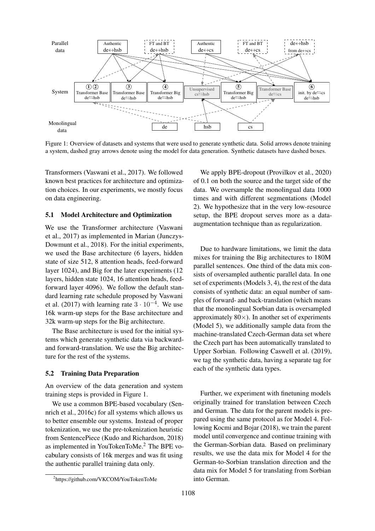

Figure 1: Overview of datasets and systems that were used to generate synthetic data. Solid arrows denote training a system, dashed gray arrows denote using the model for data generation. Synthetic datasets have dashed boxes.

Transformers (Vaswani et al., 2017). We followed known best practices for architecture and optimization choices. In our experiments, we mostly focus on data engineering.

#### 5.1 Model Architecture and Optimization

We use the Transformer architecture (Vaswani et al., 2017) as implemented in Marian (Junczys-Dowmunt et al., 2018). For the initial experiments, we used the Base architecture (6 layers, hidden state of size 512, 8 attention heads, feed-forward layer 1024), and Big for the later experiments (12 layers, hidden state 1024, 16 attention heads, feedforward layer 4096). We follow the default standard learning rate schedule proposed by Vaswani et al. (2017) with learning rate  $3 \cdot 10^{-4}$ . We use 16k warm-up steps for the Base architecture and 32k warm-up steps for the Big architecture.

The Base architecture is used for the initial systems which generate synthetic data via backwardand forward-translation. We use the Big architecture for the rest of the systems.

#### 5.2 Training Data Preparation

An overview of the data generation and system training steps is provided in Figure 1.

We use a common BPE-based vocabulary (Sennrich et al., 2016c) for all systems which allows us to better ensemble our systems. Instead of proper tokenization, we use the pre-tokenization heuristic from SentencePiece (Kudo and Richardson, 2018) as implemented in YouTokenToMe.<sup>2</sup> The BPE vocabulary consists of 16k merges and was fit using the authentic parallel training data only.

We apply BPE-dropout (Provilkov et al., 2020) of 0.1 on both the source and the target side of the data. We oversample the monolingual data 1000 times and with different segmentations (Model 2). We hypothesize that in the very low-resource setup, the BPE dropout serves more as a dataaugmentation technique than as regularization.

Due to hardware limitations, we limit the data mixes for training the Big architectures to 180M parallel sentences. One third of the data mix consists of oversampled authentic parallel data. In one set of experiments (Models 3, 4), the rest of the data consists of synthetic data: an equal number of samples of forward- and back-translation (which means that the monolingual Sorbian data is oversampled approximately  $80 \times$ ). In another set of experiments (Model 5), we additionally sample data from the machine-translated Czech-German data set where the Czech part has been automatically translated to Upper Sorbian. Following Caswell et al. (2019), we tag the synthetic data, having a separate tag for each of the synthetic data types.

Further, we experiment with finetuning models originally trained for translation between Czech and German. The data for the parent models is prepared using the same protocol as for Model 4. Following Kocmi and Bojar (2018), we train the parent model until convergence and continue training with the German-Sorbian data. Based on preliminary results, we use the data mix for Model 4 for the German-to-Sorbian translation direction and the data mix for Model 5 for translating from Sorbian into German.

<sup>2</sup> https://github.com/VKCOM/YouTokenToMe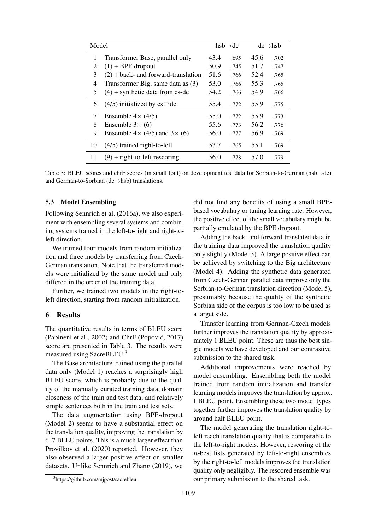| Model |                                                 | $hsb \rightarrow de$ |      | $de \rightarrow hsh$ |      |
|-------|-------------------------------------------------|----------------------|------|----------------------|------|
| 1     | Transformer Base, parallel only                 | 43.4                 | .695 | 45.6                 | .702 |
| 2     | $(1)$ + BPE dropout                             | 50.9                 | .745 | 51.7                 | .747 |
| 3     | $(2)$ + back- and forward-translation           | 51.6                 | .766 | 52.4                 | .765 |
| 4     | Transformer Big, same data as (3)               | 53.0                 | .766 | 55.3                 | .765 |
| 5     | $(4)$ + synthetic data from cs-de               | 54.2                 | .766 | 54.9                 | .766 |
| 6     | $(4/5)$ initialized by cs $\rightleftarrows$ de | 55.4                 | .772 | 55.9                 | .775 |
| 7     | Ensemble $4 \times (4/5)$                       | 55.0                 | .772 | 55.9                 | .773 |
| 8     | Ensemble $3\times$ (6)                          | 55.6                 | .773 | 56.2                 | .776 |
| 9     | Ensemble $4 \times (4/5)$ and $3 \times (6)$    | 56.0                 | .777 | 56.9                 | .769 |
| 10    | $(4/5)$ trained right-to-left                   | 53.7                 | .765 | 55.1                 | .769 |
| 11    | $(9)$ + right-to-left rescoring                 | 56.0                 | .778 | 57.0                 | .779 |

Table 3: BLEU scores and chrF scores (in small font) on development test data for Sorbian-to-German (hsb→de) and German-to-Sorbian (de→hsb) translations.

#### 5.3 Model Ensembling

Following Sennrich et al. (2016a), we also experiment with ensembling several systems and combining systems trained in the left-to-right and right-toleft direction.

We trained four models from random initialization and three models by transferring from Czech-German translation. Note that the transferred models were initialized by the same model and only differed in the order of the training data.

Further, we trained two models in the right-toleft direction, starting from random initialization.

# 6 Results

The quantitative results in terms of BLEU score (Papineni et al., 2002) and ChrF (Popović, 2017) score are presented in Table 3. The results were measured using SacreBLEU.<sup>3</sup>

The Base architecture trained using the parallel data only (Model 1) reaches a surprisingly high BLEU score, which is probably due to the quality of the manually curated training data, domain closeness of the train and test data, and relatively simple sentences both in the train and test sets.

The data augmentation using BPE-dropout (Model 2) seems to have a substantial effect on the translation quality, improving the translation by 6–7 BLEU points. This is a much larger effect than Provilkov et al. (2020) reported. However, they also observed a larger positive effect on smaller datasets. Unlike Sennrich and Zhang (2019), we did not find any benefits of using a small BPEbased vocabulary or tuning learning rate. However, the positive effect of the small vocabulary might be partially emulated by the BPE dropout.

Adding the back- and forward-translated data in the training data improved the translation quality only slightly (Model 3). A large positive effect can be achieved by switching to the Big architecture (Model 4). Adding the synthetic data generated from Czech-German parallel data improve only the Sorbian-to-German translation direction (Model 5), presumably because the quality of the synthetic Sorbian side of the corpus is too low to be used as a target side.

Transfer learning from German-Czech models further improves the translation quality by approximately 1 BLEU point. These are thus the best single models we have developed and our contrastive submission to the shared task.

Additional improvements were reached by model ensembling. Ensembling both the model trained from random initialization and transfer learning models improves the translation by approx. 1 BLEU point. Ensembling these two model types together further improves the translation quality by around half BLEU point.

The model generating the translation right-toleft reach translation quality that is comparable to the left-to-right models. However, rescoring of the n-best lists generated by left-to-right ensembles by the right-to-left models improves the translation quality only negligibly. The rescored ensemble was our primary submission to the shared task.

<sup>3</sup> https://github.com/mjpost/sacrebleu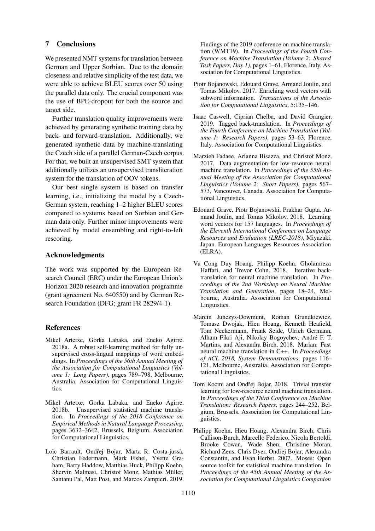# 7 Conclusions

We presented NMT systems for translation between German and Upper Sorbian. Due to the domain closeness and relative simplicity of the test data, we were able to achieve BLEU scores over 50 using the parallel data only. The crucial component was the use of BPE-dropout for both the source and target side.

Further translation quality improvements were achieved by generating synthetic training data by back- and forward-translation. Additionally, we generated synthetic data by machine-translating the Czech side of a parallel German-Czech corpus. For that, we built an unsupervised SMT system that additionally utilizes an unsupervised transliteration system for the translation of OOV tokens.

Our best single system is based on transfer learning, i.e., initializing the model by a Czech-German system, reaching 1–2 higher BLEU scores compared to systems based on Sorbian and German data only. Further minor improvements were achieved by model ensembling and right-to-left rescoring.

### Acknowledgments

The work was supported by the European Research Council (ERC) under the European Union's Horizon 2020 research and innovation programme (grant agreement No. 640550) and by German Research Foundation (DFG; grant FR 2829/4-1).

# References

- Mikel Artetxe, Gorka Labaka, and Eneko Agirre. 2018a. A robust self-learning method for fully unsupervised cross-lingual mappings of word embeddings. In *Proceedings of the 56th Annual Meeting of the Association for Computational Linguistics (Volume 1: Long Papers)*, pages 789–798, Melbourne, Australia. Association for Computational Linguistics.
- Mikel Artetxe, Gorka Labaka, and Eneko Agirre. 2018b. Unsupervised statistical machine translation. In *Proceedings of the 2018 Conference on Empirical Methods in Natural Language Processing*, pages 3632–3642, Brussels, Belgium. Association for Computational Linguistics.
- Loïc Barrault, Ondřej Bojar, Marta R. Costa-jussà, Christian Federmann, Mark Fishel, Yvette Graham, Barry Haddow, Matthias Huck, Philipp Koehn, Shervin Malmasi, Christof Monz, Mathias Müller, Santanu Pal, Matt Post, and Marcos Zampieri. 2019.

Findings of the 2019 conference on machine translation (WMT19). In *Proceedings of the Fourth Conference on Machine Translation (Volume 2: Shared Task Papers, Day 1)*, pages 1–61, Florence, Italy. Association for Computational Linguistics.

- Piotr Bojanowski, Edouard Grave, Armand Joulin, and Tomas Mikolov. 2017. Enriching word vectors with subword information. *Transactions of the Association for Computational Linguistics*, 5:135–146.
- Isaac Caswell, Ciprian Chelba, and David Grangier. 2019. Tagged back-translation. In *Proceedings of the Fourth Conference on Machine Translation (Volume 1: Research Papers)*, pages 53–63, Florence, Italy. Association for Computational Linguistics.
- Marzieh Fadaee, Arianna Bisazza, and Christof Monz. 2017. Data augmentation for low-resource neural machine translation. In *Proceedings of the 55th Annual Meeting of the Association for Computational Linguistics (Volume 2: Short Papers)*, pages 567– 573, Vancouver, Canada. Association for Computational Linguistics.
- Edouard Grave, Piotr Bojanowski, Prakhar Gupta, Armand Joulin, and Tomas Mikolov. 2018. Learning word vectors for 157 languages. In *Proceedings of the Eleventh International Conference on Language Resources and Evaluation (LREC-2018)*, Miyazaki, Japan. European Languages Resources Association (ELRA).
- Vu Cong Duy Hoang, Philipp Koehn, Gholamreza Haffari, and Trevor Cohn. 2018. Iterative backtranslation for neural machine translation. In *Proceedings of the 2nd Workshop on Neural Machine Translation and Generation*, pages 18–24, Melbourne, Australia. Association for Computational Linguistics.
- Marcin Junczys-Dowmunt, Roman Grundkiewicz, Tomasz Dwojak, Hieu Hoang, Kenneth Heafield, Tom Neckermann, Frank Seide, Ulrich Germann, Alham Fikri Aji, Nikolay Bogoychev, Andre F. T. ´ Martins, and Alexandra Birch. 2018. Marian: Fast neural machine translation in C++. In *Proceedings of ACL 2018, System Demonstrations*, pages 116– 121, Melbourne, Australia. Association for Computational Linguistics.
- Tom Kocmi and Ondřej Bojar. 2018. Trivial transfer learning for low-resource neural machine translation. In *Proceedings of the Third Conference on Machine Translation: Research Papers*, pages 244–252, Belgium, Brussels. Association for Computational Linguistics.
- Philipp Koehn, Hieu Hoang, Alexandra Birch, Chris Callison-Burch, Marcello Federico, Nicola Bertoldi, Brooke Cowan, Wade Shen, Christine Moran, Richard Zens, Chris Dyer, Ondřej Bojar, Alexandra Constantin, and Evan Herbst. 2007. Moses: Open source toolkit for statistical machine translation. In *Proceedings of the 45th Annual Meeting of the Association for Computational Linguistics Companion*